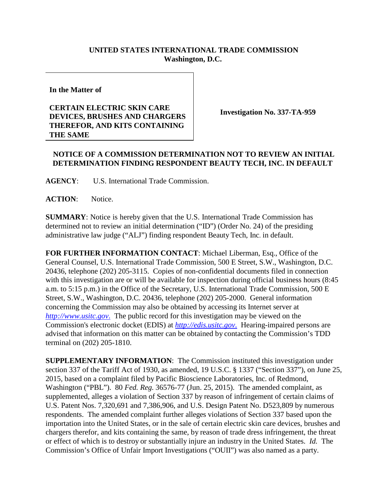## **UNITED STATES INTERNATIONAL TRADE COMMISSION Washington, D.C.**

**In the Matter of**

## **CERTAIN ELECTRIC SKIN CARE DEVICES, BRUSHES AND CHARGERS THEREFOR, AND KITS CONTAINING THE SAME**

**Investigation No. 337-TA-959**

## **NOTICE OF A COMMISSION DETERMINATION NOT TO REVIEW AN INITIAL DETERMINATION FINDING RESPONDENT BEAUTY TECH, INC. IN DEFAULT**

**AGENCY**: U.S. International Trade Commission.

**ACTION**: Notice.

**SUMMARY**: Notice is hereby given that the U.S. International Trade Commission has determined not to review an initial determination ("ID") (Order No. 24) of the presiding administrative law judge ("ALJ") finding respondent Beauty Tech, Inc. in default.

**FOR FURTHER INFORMATION CONTACT**: Michael Liberman, Esq., Office of the General Counsel, U.S. International Trade Commission, 500 E Street, S.W., Washington, D.C. 20436, telephone (202) 205-3115. Copies of non-confidential documents filed in connection with this investigation are or will be available for inspection during official business hours (8:45 a.m. to 5:15 p.m.) in the Office of the Secretary, U.S. International Trade Commission, 500 E Street, S.W., Washington, D.C. 20436, telephone (202) 205-2000. General information concerning the Commission may also be obtained by accessing its Internet server at *[http://www.usitc.gov](http://www.usitc.gov./)*. The public record for this investigation may be viewed on the Commission's electronic docket (EDIS) at *[http://edis.usitc.gov](http://edis.usitc.gov./)*. Hearing-impaired persons are advised that information on this matter can be obtained by contacting the Commission's TDD terminal on (202) 205-1810.

**SUPPLEMENTARY INFORMATION**: The Commission instituted this investigation under section 337 of the Tariff Act of 1930, as amended, 19 U.S.C. § 1337 ("Section 337"), on June 25, 2015, based on a complaint filed by Pacific Bioscience Laboratories, Inc. of Redmond, Washington ("PBL"). 80 *Fed. Reg.* 36576-77 (Jun. 25, 2015). The amended complaint, as supplemented, alleges a violation of Section 337 by reason of infringement of certain claims of U.S. Patent Nos. 7,320,691 and 7,386,906, and U.S. Design Patent No. D523,809 by numerous respondents. The amended complaint further alleges violations of Section 337 based upon the importation into the United States, or in the sale of certain electric skin care devices, brushes and chargers therefor, and kits containing the same, by reason of trade dress infringement, the threat or effect of which is to destroy or substantially injure an industry in the United States. *Id.* The Commission's Office of Unfair Import Investigations ("OUII") was also named as a party.